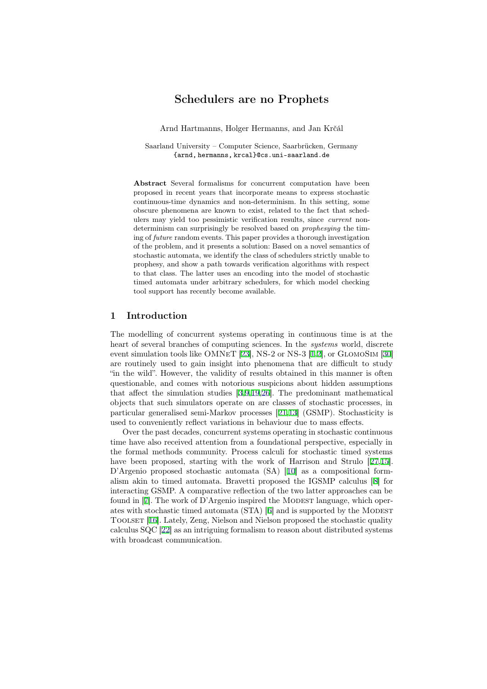# Schedulers are no Prophets

Arnd Hartmanns, Holger Hermanns, and Jan Krčál

Saarland University – Computer Science, Saarbrücken, Germany {arnd, hermanns, krcal}@cs.uni-saarland.de

Abstract Several formalisms for concurrent computation have been proposed in recent years that incorporate means to express stochastic continuous-time dynamics and non-determinism. In this setting, some obscure phenomena are known to exist, related to the fact that schedulers may yield too pessimistic verification results, since current nondeterminism can surprisingly be resolved based on prophesying the timing of future random events. This paper provides a thorough investigation of the problem, and it presents a solution: Based on a novel semantics of stochastic automata, we identify the class of schedulers strictly unable to prophesy, and show a path towards verification algorithms with respect to that class. The latter uses an encoding into the model of stochastic timed automata under arbitrary schedulers, for which model checking tool support has recently become available.

# 1 Introduction

The modelling of concurrent systems operating in continuous time is at the heart of several branches of computing sciences. In the *systems* world, discrete event simulation tools like OMNeT [23], NS-2 or NS-3 [1,2], or GlomoSim [30] are routinely used to gain insight into phenomena that are difficult to study "in the wild". However, the validity of results obtained in this manner is often questionable, and comes with notorious suspicions about hidden assumptions that affect the simulation studies [[3,9,](#page-21-0)19,26]. The pre[dom](#page-20-0)inant mathemat[ical](#page-22-0) objects that such simulators operate on are classes of stochastic processes, in particular generalised semi-Markov processes [21,13] (GSMP). Stochasticity is used to conveniently reflect variations in behaviour due to mass effects.

Over the past decades, concurre[nt](#page-20-0) [systems](#page-21-0) operating in stochastic continuous time have also received attention from a foundational perspective, especially in the formal methods community. Process calc[uli](#page-21-0) [for](#page-21-0) stochastic timed systems have been proposed, starting with the work of Harrison and Strulo [27,15]. D'Argenio proposed stochastic automata (SA) [10] as a compositional formalism akin to timed automata. Bravetti proposed the IGSMP calculus [8] for interacting GSMP. A comparative reflection of the two latter approaches can be found in  $[7]$ . The work of D'Argenio inspired the MODEST language, whic[h oper](#page-21-0)ates with stochastic timed automata (STA) [6] an[d is](#page-21-0) supported by the MODEST Toolset [16]. Lately, Zeng, Nielson and Nielson proposed the stochastic q[ua](#page-20-0)lity calculus SQC [22] as an intriguing formalism to reason about distributed systems with bro[ad](#page-20-0)cast communication.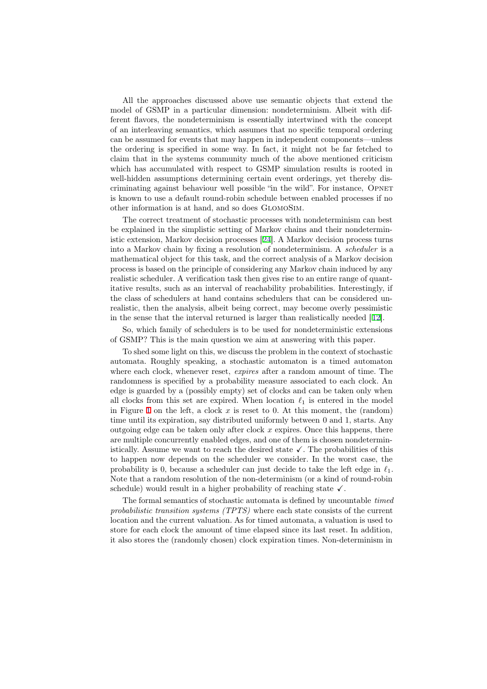All the approaches discussed above use semantic objects that extend the model of GSMP in a particular dimension: nondeterminism. Albeit with different flavors, the nondeterminism is essentially intertwined with the concept of an interleaving semantics, which assumes that no specific temporal ordering can be assumed for events that may happen in independent components—unless the ordering is specified in some way. In fact, it might not be far fetched to claim that in the systems community much of the above mentioned criticism which has accumulated with respect to GSMP simulation results is rooted in well-hidden assumptions determining certain event orderings, yet thereby discriminating against behaviour well possible "in the wild". For instance, OPNET is known to use a default round-robin schedule between enabled processes if no other information is at hand, and so does GlomoSim.

The correct treatment of stochastic processes with nondeterminism can best be explained in the simplistic setting of Markov chains and their nondeterministic extension, Markov decision processes [24]. A Markov decision process turns into a Markov chain by fixing a resolution of nondeterminism. A scheduler is a mathematical object for this task, and the correct analysis of a Markov decision process is based on the principle of considering any Markov chain induced by any realistic scheduler. A verification task then [giv](#page-21-0)es rise to an entire range of quantitative results, such as an interval of reachability probabilities. Interestingly, if the class of schedulers at hand contains schedulers that can be considered unrealistic, then the analysis, albeit being correct, may become overly pessimistic in the sense that the interval returned is larger than realistically needed [12].

So, which family of schedulers is to be used for nondeterministic extensions of GSMP? This is the main question we aim at answering with this paper.

To shed some light on this, we discuss the problem in the context of stochastic automata. Roughly speaking, a stochastic automaton is a timed auto[ma](#page-21-0)ton where each clock, whenever reset, *expires* after a random amount of time. The randomness is specified by a probability measure associated to each clock. An edge is guarded by a (possibly empty) set of clocks and can be taken only when all clocks from this set are expired. When location  $\ell_1$  is entered in the model in Figure 1 on the left, a clock  $x$  is reset to 0. At this moment, the (random) time until its expiration, say distributed uniformly between 0 and 1, starts. Any outgoing edge can be taken only after clock  $x$  expires. Once this happens, there are multiple concurrently enabled edges, and one of them is chosen nondetermin-istically. [As](#page-2-0)sume we want to reach the desired state  $\checkmark$ . The probabilities of this to happen now depends on the scheduler we consider. In the worst case, the probability is 0, because a scheduler can just decide to take the left edge in  $\ell_1$ . Note that a random resolution of the non-determinism (or a kind of round-robin schedule) would result in a higher probability of reaching state  $\checkmark$ .

The formal semantics of stochastic automata is defined by uncountable timed probabilistic transition systems (TPTS) where each state consists of the current location and the current valuation. As for timed automata, a valuation is used to store for each clock the amount of time elapsed since its last reset. In addition, it also stores the (randomly chosen) clock expiration times. Non-determinism in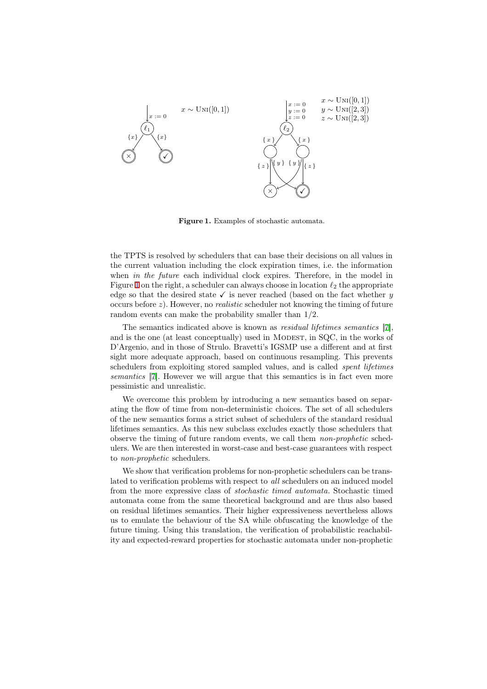<span id="page-2-0"></span>

Figure 1. Examples of stochastic automata.

the TPTS is resolved by schedulers that can base their decisions on all values in the current valuation including the clock expiration times, i.e. the information when in the future each individual clock expires. Therefore, in the model in Figure 1 on the right, a scheduler can always choose in location  $\ell_2$  the appropriate edge so that the desired state  $\checkmark$  is never reached (based on the fact whether y occurs before  $z$ ). However, no *realistic* scheduler not knowing the timing of future random events can make the probability smaller than 1/2.

The semantics indicated above is known as residual lifetimes semantics [7], and is the one (at least conceptually) used in MODEST, in SQC, in the works of D'Argenio, and in those of Strulo. Bravetti's IGSMP use a different and at first sight more adequate approach, based on continuous resampling. This prevents schedulers from exploiting stored sampled values, and is called spent lifeti[me](#page-20-0)s semantics [7]. However we will argue that this semantics is in fact even more pessimistic and unrealistic.

We overcome this problem by introducing a new semantics based on separating the flow of time from non-deterministic choices. The set of all schedulers of the new [se](#page-20-0)mantics forms a strict subset of schedulers of the standard residual lifetimes semantics. As this new subclass excludes exactly those schedulers that observe the timing of future random events, we call them non-prophetic schedulers. We are then interested in worst-case and best-case guarantees with respect to non-prophetic schedulers.

We show that verification problems for non-prophetic schedulers can be translated to verification problems with respect to all schedulers on an induced model from the more expressive class of stochastic timed automata. Stochastic timed automata come from the same theoretical background and are thus also based on residual lifetimes semantics. Their higher expressiveness nevertheless allows us to emulate the behaviour of the SA while obfuscating the knowledge of the future timing. Using this translation, the verification of probabilistic reachability and expected-reward properties for stochastic automata under non-prophetic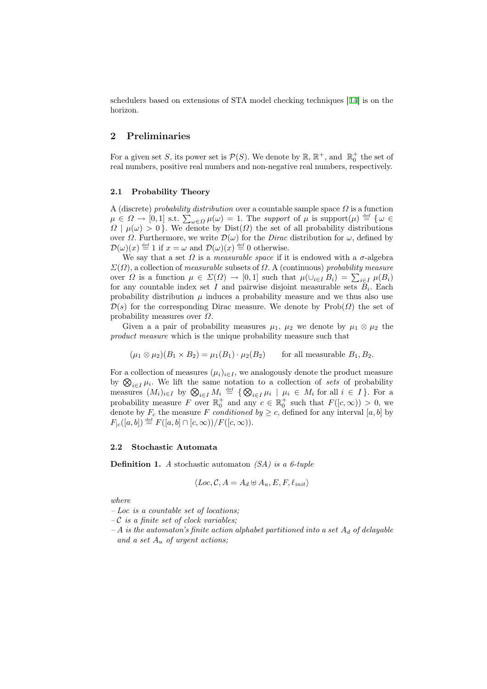schedulers based on extensions of STA model checking techniques [14] is on the horizon.

# 2 Preliminaries

For a given set S, its power set is  $P(S)$ . We denote by  $\mathbb{R}, \mathbb{R}^+$ , and  $\mathbb{R}_0^+$  the set of real numbers, positive real numbers and non-negative real numbers, respectively.

#### 2.1 Probability Theory

A (discrete) probability distribution over a countable sample space  $\Omega$  is a function  $\mu \in \Omega \to [0, 1]$  s.t.  $\sum_{\omega \in \Omega} \mu(\omega) = 1$ . The support of  $\mu$  is support $(\mu) \stackrel{\text{def}}{=} {\omega \in \Omega}$  $\Omega | \mu(\omega) > 0$ . We denote by Dist( $\Omega$ ) the set of all probability distributions over Ω. Furthermore, we write  $D(\omega)$  for the *Dirac* distribution for  $\omega$ , defined by  $\mathcal{D}(\omega)(x) \stackrel{\text{def}}{=} 1$  if  $x = \omega$  and  $\mathcal{D}(\omega)(x) \stackrel{\text{def}}{=} 0$  otherwise.

We say that a set  $\Omega$  is a *measurable space* if it is endowed with a  $\sigma$ -algebra  $\Sigma(\Omega)$ , a collection of measurable subsets of  $\Omega$ . A (continuous) probability measure over  $\Omega$  is a function  $\mu \in \Sigma(\Omega) \to [0,1]$  such that  $\mu(\cup_{i \in I} B_i) = \sum_{i \in I} \mu(B_i)$ for any countable index set I and pairwise disjoint measurable sets  $B_i$ . Each probability distribution  $\mu$  induces a probability measure and we thus also use  $\mathcal{D}(s)$  for the corresponding Dirac measure. We denote by Prob( $\Omega$ ) the set of probability measures over  $\Omega$ .

Given a a pair of probability measures  $\mu_1$ ,  $\mu_2$  we denote by  $\mu_1 \otimes \mu_2$  the product measure which is the unique probability measure such that

 $(\mu_1 \otimes \mu_2)(B_1 \times B_2) = \mu_1(B_1) \cdot \mu_2(B_2)$  for all measurable  $B_1, B_2$ .

For a collection of measures  $(\mu_i)_{i\in I}$ , we analogously denote the product measure by  $\bigotimes_{i\in I}\mu_i$ . We lift the same notation to a collection of sets of probability measures  $(M_i)_{i\in I}$  by  $\bigotimes_{i\in I} M_i \stackrel{\text{def}}{=} {\bigotimes_{i\in I} \mu_i \bigm| \mu_i \in M_i \text{ for all } i \in I \biggr}.$  For a probability measure F over  $\mathbb{R}_0^+$  and any  $c \in \mathbb{R}_0^+$  such that  $F([c,\infty)) > 0$ , we denote by  $F_c$  the measure F conditioned by  $\geq c$ , defined for any interval [a, b] by  $F_{|c}([a, b]) \stackrel{\text{def}}{=} F([a, b] \cap [c, \infty)) / F([c, \infty)).$ 

## 2.2 Stochastic Automata

**Definition 1.** A stochastic automaton  $(SA)$  is a 6-tuple

$$
\langle Loc, \mathcal{C}, A = A_d \oplus A_u, E, F, \ell_{init} \rangle
$$

where

– Loc is a countable set of locations;

 $-C$  is a finite set of clock variables;

 $-A$  is the automaton's finite action alphabet partitioned into a set  $A_d$  of delayable and a set  $A_u$  of urgent actions;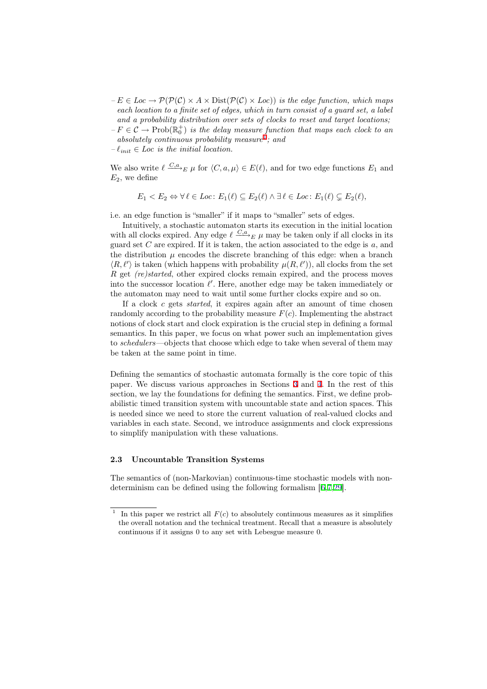$-E \in Loc \rightarrow \mathcal{P}(\mathcal{P}(\mathcal{C}) \times A \times Dist(\mathcal{P}(\mathcal{C}) \times Loc))$  is the edge function, which maps each location to a finite set of edges, which in turn consist of a guard set, a label and a probability distribution over sets of clocks to reset and target locations;  $-F \in \mathcal{C} \to \text{Prob}(\mathbb{R}_0^+)$  is the delay measure function that maps each clock to an absolutely continuous probability measure<sup>1</sup>; and  $-\ell_{init} \in Loc$  is the initial location.

We also write  $\ell \stackrel{C,a}{\longrightarrow}_E \mu$  for  $\langle C, a, \mu \rangle \in E(\ell)$ , and for two edge functions  $E_1$  and  $E_2$ , we define

$$
E_1 < E_2 \Leftrightarrow \forall \ell \in \text{Loc} \colon E_1(\ell) \subseteq E_2(\ell) \land \exists \ell \in \text{Loc} \colon E_1(\ell) \subsetneq E_2(\ell),
$$

i.e. an edge function is "smaller" if it maps to "smaller" sets of edges.

Intuitively, a stochastic automaton starts its execution in the initial location with all clocks expired. Any edge  $\ell \stackrel{C,a}{\longrightarrow}_E \mu$  may be taken only if all clocks in its guard set  $C$  are expired. If it is taken, the action associated to the edge is  $a$ , and the distribution  $\mu$  encodes the discrete branching of this edge: when a branch  $\langle R, \ell' \rangle$  is taken (which happens with probability  $\mu(R, \ell')$ ), all clocks from the set R get (re)started, other expired clocks remain expired, and the process moves into the successor location  $\ell'$ . Here, another edge may be taken immediately or the automaton may need to wait until some further clocks expire and so on.

If a clock c gets started, it expires again after an amount of time chosen randomly according to the probability measure  $F(c)$ . Implementing the abstract notions of clock start and clock expiration is the crucial step in defining a formal semantics. In this paper, we focus on what power such an implementation gives to schedulers—objects that choose which edge to take when several of them may be taken at the same point in time.

Defining the semantics of stochastic automata formally is the core topic of this paper. We discuss various approaches in Sections 3 and 4. In the rest of this section, we lay the foundations for defining the semantics. First, we define probabilistic timed transition system with uncountable state and action spaces. This is needed since we need to store the current valuation of real-valued clocks and variables in each state. Second, we introduce assign[m](#page-7-0)ents [an](#page-12-0)d clock expressions to simplify manipulation with these valuations.

### 2.3 Uncountable Transition Systems

The semantics of (non-Markovian) continuous-time stochastic models with nondeterminism can be defined using the following formalism [6,7,29].

<sup>&</sup>lt;sup>1</sup> In this paper we restrict all  $F(c)$  to absolutely continuous measures as it simplifies the overall notation and the technical treatment. Recall that [a me](#page-20-0)[asu](#page-22-0)re is absolutely continuous if it assigns 0 to any set with Lebesgue measure 0.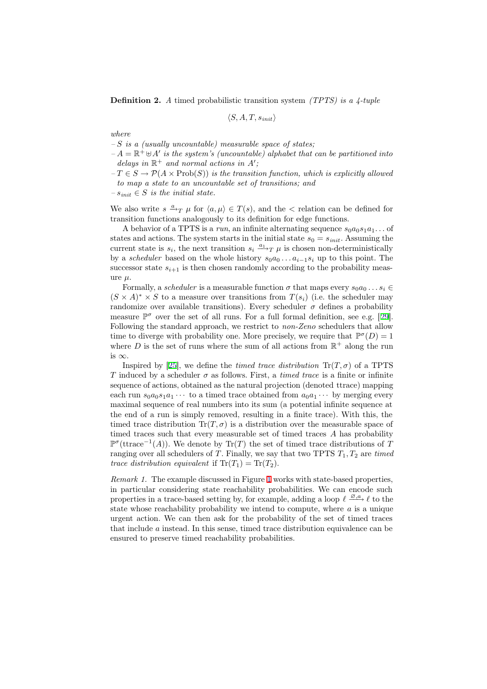**Definition 2.** A timed probabilistic transition system (TPTS) is a  $\lambda$ -tuple

$$
\langle S, A, T, s_{\mathit{init}} \rangle
$$

where

- $-S$  is a (usually uncountable) measurable space of states;
- $-A = \mathbb{R}^+ \oplus A'$  is the system's (uncountable) alphabet that can be partitioned into delays in  $\mathbb{R}^+$  and normal actions in  $A'$ ;
- $-T \in S \to \mathcal{P}(A \times \text{Prob}(S))$  is the transition function, which is explicitly allowed to map a state to an uncountable set of transitions; and
- $-s_{init} \in S$  is the initial state.

We also write  $s \xrightarrow{a} T \mu$  for  $\langle a, \mu \rangle \in T(s)$ , and the  $\langle$  relation can be defined for transition functions analogously to its definition for edge functions.

A behavior of a TPTS is a run, an infinite alternating sequence  $s_0a_0s_1a_1...$  of states and actions. The system starts in the initial state  $s_0 = s_{init}$ . Assuming the current state is  $s_i$ , the next transition  $s_i \xrightarrow{a_1} T \mu$  is chosen non-deterministically by a *scheduler* based on the whole history  $s_0a_0 \ldots a_{i-1}s_i$  up to this point. The successor state  $s_{i+1}$  is then chosen randomly according to the probability measure  $\mu$ .

Formally, a *scheduler* is a measurable function  $\sigma$  that maps every  $s_0a_0 \ldots s_i \in$  $(S \times A)^* \times S$  to a measure over transitions from  $T(s_i)$  (i.e. the scheduler may randomize over available transitions). Every scheduler  $\sigma$  defines a probability measure  $\mathbb{P}^{\sigma}$  over the set of all runs. For a full formal definition, see e.g. [29]. Following the standard approach, we restrict to *non-Zeno* schedulers that allow time to diverge with probability one. More precisely, we require that  $\mathbb{P}^{\sigma}(D) = 1$ where D is the set of runs where the sum of all actions from  $\mathbb{R}^+$  along the run is ∞.

Inspired by [25], we define the *timed trace distribution*  $Tr(T, \sigma)$  of a TPTS T induced by a scheduler  $\sigma$  as follows. First, a *timed trace* is a finite or infinite sequence of actions, obtained as the natural projection (denoted ttrace) mapping each run  $s_0a_0s_1a_1 \cdots$  to a timed trace obtained from  $a_0a_1 \cdots$  by merging every maximal sequen[ce](#page-21-0) of real numbers into its sum (a potential infinite sequence at the end of a run is simply removed, resulting in a finite trace). With this, the timed trace distribution  $Tr(T, \sigma)$  is a distribution over the measurable space of timed traces such that every measurable set of timed traces A has probability  $\mathbb{P}^{\sigma}$ (ttrace<sup>-1</sup>(A)). We denote by Tr(T) the set of timed trace distributions of T ranging over all schedulers of T. Finally, we say that two TPTS  $T_1, T_2$  are timed trace distribution equivalent if  $\text{Tr}(T_1) = \text{Tr}(T_2)$ .

Remark 1. The example discussed in Figure 1 works with state-based properties, in particular considering state reachability probabilities. We can encode such properties in a trace-based setting by, for example, adding a loop  $\ell \stackrel{\varnothing,a}{\longrightarrow} \ell$  to the state whose reachability probability we intend to compute, where  $a$  is a unique urgent action. We can then ask for the pr[ob](#page-2-0)ability of the set of timed traces that include a instead. In this sense, timed trace distribution equivalence can be ensured to preserve timed reachability probabilities.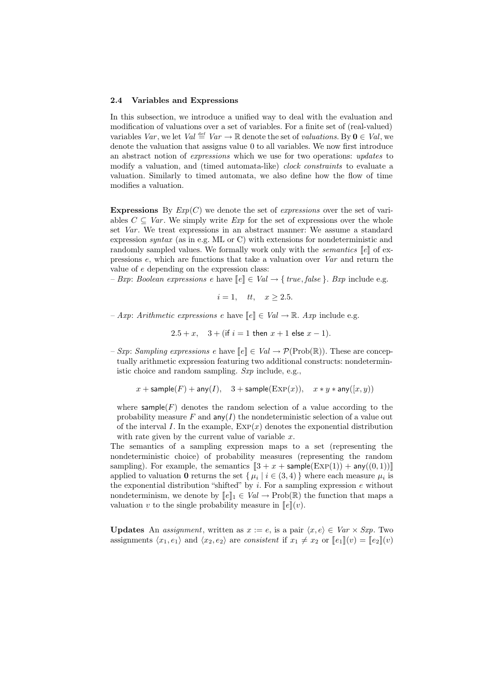#### 2.4 Variables and Expressions

In this subsection, we introduce a unified way to deal with the evaluation and modification of valuations over a set of variables. For a finite set of (real-valued) variables  $Var$ , we let  $Val \stackrel{\text{def}}{=} Var \rightarrow \mathbb{R}$  denote the set of *valuations*. By  $0 \in Val$ , we denote the valuation that assigns value 0 to all variables. We now first introduce an abstract notion of expressions which we use for two operations: updates to modify a valuation, and (timed automata-like) *clock constraints* to evaluate a valuation. Similarly to timed automata, we also define how the flow of time modifies a valuation.

Expressions By  $Exp(C)$  we denote the set of *expressions* over the set of variables  $C \subseteq Var$ . We simply write Exp for the set of expressions over the whole set Var . We treat expressions in an abstract manner: We assume a standard expression syntax (as in e.g. ML or C) with extensions for nondeterministic and randomly sampled values. We formally work only with the *semantics*  $\llbracket e \rrbracket$  of expressions e, which are functions that take a valuation over Var and return the value of e depending on the expression class:

– Bxp: Boolean expressions e have  $\llbracket e \rrbracket \in Val \to \{ \text{ true}, \text{ false} \}.$  Bxp include e.g.

$$
i = 1, \quad tt, \quad x \ge 2.5.
$$

– Axp: Arithmetic expressions e have  $\llbracket e \rrbracket \in Val \to \mathbb{R}$ . Axp include e.g.

 $2.5 + x$ ,  $3 + (if i = 1 then x + 1 else x - 1).$ 

– Sxp: Sampling expressions e have  $\llbracket e \rrbracket \in Val \to \mathcal{P}(\text{Prob}(\mathbb{R}))$ . These are conceptually arithmetic expression featuring two additional constructs: nondeterministic choice and random sampling. Sxp include, e.g.,

$$
x + \textsf{sample}(F) + \textsf{any}(I), \quad 3 + \textsf{sample}(\textsf{Exp}(x)), \quad x * y * \textsf{any}([x, y))
$$

where  $\textsf{sample}(F)$  denotes the random selection of a value according to the probability measure F and  $\text{any}(I)$  the nondeterministic selection of a value out of the interval I. In the example,  $\exp(x)$  denotes the exponential distribution with rate given by the current value of variable  $x$ .

The semantics of a sampling expression maps to a set (representing the nondeterministic choice) of probability measures (representing the random sampling). For example, the semantics  $[3 + x + \text{sample}(Exp(1)) + \text{any}((0, 1))]$ applied to valuation 0 returns the set  $\{\mu_i \mid i \in (3, 4)\}\$  where each measure  $\mu_i$  is the exponential distribution "shifted" by  $i$ . For a sampling expression  $e$  without nondeterminism, we denote by  $\llbracket e \rrbracket_1 \in Val \to \text{Prob}(\mathbb{R})$  the function that maps a valuation v to the single probability measure in  $\llbracket e \rrbracket(v)$ .

**Updates** An *assignment*, written as  $x := e$ , is a pair  $\langle x, e \rangle \in Var \times Sxy$ . Two assignments  $\langle x_1, e_1 \rangle$  and  $\langle x_2, e_2 \rangle$  are consistent if  $x_1 \neq x_2$  or  $\llbracket e_1 \rrbracket(v) = \llbracket e_2 \rrbracket(v)$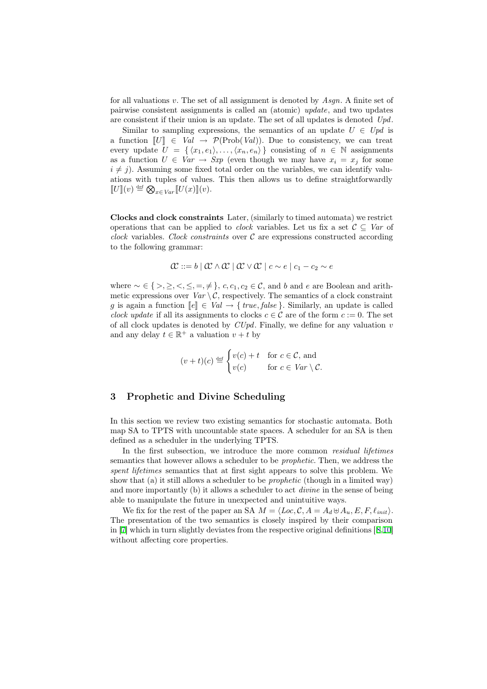<span id="page-7-0"></span>for all valuations v. The set of all assignment is denoted by Asgn. A finite set of pairwise consistent assignments is called an (atomic) update, and two updates are consistent if their union is an update. The set of all updates is denoted  $Upd$ .

Similar to sampling expressions, the semantics of an update  $U \in Upd$  is a function  $\llbracket U \rrbracket \in Val \rightarrow \mathcal{P}(\text{Prob}(Val)).$  Due to consistency, we can treat every update  $U = \{ \langle x_1, e_1 \rangle, \ldots, \langle x_n, e_n \rangle \}$  consisting of  $n \in \mathbb{N}$  assignments as a function  $U \in Var \rightarrow Sxp$  (even though we may have  $x_i = x_j$  for some  $i \neq j$ ). Assuming some fixed total order on the variables, we can identify valuations with tuples of values. This then allows us to define straightforwardly  $\llbracket U \rrbracket(v) \stackrel{\text{def}}{=} \bigotimes_{x \in \text{Var}} \llbracket U(x) \rrbracket(v).$ 

Clocks and clock constraints Later, (similarly to timed automata) we restrict operations that can be applied to *clock* variables. Let us fix a set  $C \subseteq Var$  of clock variables. Clock constraints over  $\mathcal C$  are expressions constructed according to the following grammar:

$$
\mathcal{C} ::= b \mid \mathcal{C} \land \mathcal{C} \mid \mathcal{C} \lor \mathcal{C} \mid c \sim e \mid c_1 - c_2 \sim e
$$

where  $\sim \in \{>, \geq, \leq, \leq, =, \neq \}, c, c_1, c_2 \in \mathcal{C}$ , and b and e are Boolean and arithmetic expressions over  $Var \setminus C$ , respectively. The semantics of a clock constraint g is again a function  $\llbracket e \rrbracket \in Val \rightarrow \{ \text{true}, \text{false} \}.$  Similarly, an update is called clock update if all its assignments to clocks  $c \in \mathcal{C}$  are of the form  $c := 0$ . The set of all clock updates is denoted by  $CUpd$ . Finally, we define for any valuation  $v$ and any delay  $t \in \mathbb{R}^+$  a valuation  $v + t$  by

$$
(v+t)(c) \stackrel{\text{def}}{=} \begin{cases} v(c) + t & \text{for } c \in \mathcal{C}, \text{ and} \\ v(c) & \text{for } c \in \text{Var} \setminus \mathcal{C}. \end{cases}
$$

# 3 Prophetic and Divine Scheduling

In this section we review two existing semantics for stochastic automata. Both map SA to TPTS with uncountable state spaces. A scheduler for an SA is then defined as a scheduler in the underlying TPTS.

In the first subsection, we introduce the more common residual lifetimes semantics that however allows a scheduler to be prophetic. Then, we address the spent lifetimes semantics that at first sight appears to solve this problem. We show that (a) it still allows a scheduler to be *prophetic* (though in a limited way) and more importantly (b) it allows a scheduler to act divine in the sense of being able to manipulate the future in unexpected and unintuitive ways.

We fix for the rest of the paper an SA  $M = \langle Loc, \mathcal{C}, A = A_d \oplus A_u, E, F, \ell_{init} \rangle$ . The presentation of the two semantics is closely inspired by their comparison in [7] which in turn slightly deviates from the respective original definitions [8,10] without affecting core properties.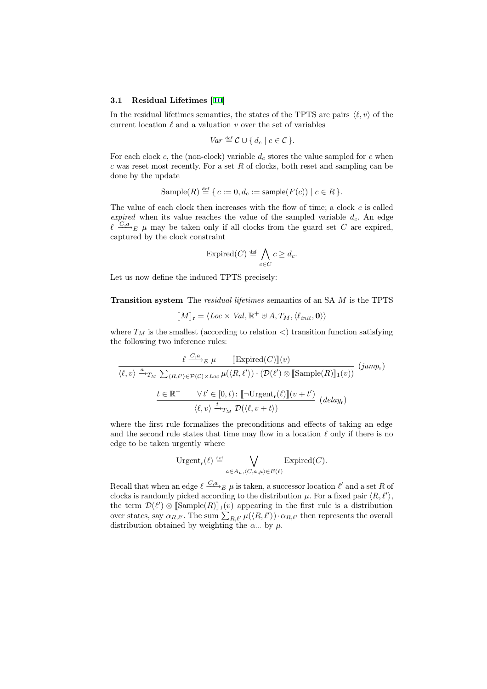### 3.1 Residual Lifetimes [10]

In the residual lifetimes semantics, the states of the TPTS are pairs  $\langle \ell, v \rangle$  of the current location  $\ell$  and a valuation v over the set of variables

$$
Var \stackrel{\text{def}}{=} \mathcal{C} \cup \{ d_c \mid c \in \mathcal{C} \}.
$$

For each clock c, the (non-clock) variable  $d_c$  stores the value sampled for c when  $c$  was reset most recently. For a set  $R$  of clocks, both reset and sampling can be done by the update

Sample(R) 
$$
\stackrel{\text{def}}{=} \{c := 0, d_c := \text{sample}(F(c)) \mid c \in R\}.
$$

The value of each clock then increases with the flow of time; a clock  $c$  is called expired when its value reaches the value of the sampled variable  $d_c$ . An edge  $\ell \nightharpoonup C,a$ <sub>E</sub>  $\mu$  may be taken only if all clocks from the guard set C are expired, captured by the clock constraint

$$
\text{Expected}(C) \stackrel{\text{def}}{=} \bigwedge_{c \in C} c \ge d_c.
$$

Let us now define the induced TPTS precisely:

Transition system The residual lifetimes semantics of an SA M is the TPTS

$$
[\![M]\!]_r = \langle Loc \times Val, \mathbb{R}^+ \oplus A, T_M, \langle \ell_{init}, \mathbf{0} \rangle \rangle
$$

where  $T_M$  is the smallest (according to relation  $\langle \rangle$ ) transition function satisfying the following two inference rules:

$$
\frac{\ell \xrightarrow{C,a} E \mu \qquad [\text{Expected}(C)]](v)}{\langle \ell, v \rangle \xrightarrow{\alpha} T_M \sum_{\langle R, \ell' \rangle \in \mathcal{P}(C) \times Loc} \mu(\langle R, \ell' \rangle) \cdot (\mathcal{D}(\ell') \otimes [\text{Sample}(R)]_1(v))} (jump_r)
$$
\n
$$
\frac{t \in \mathbb{R}^+ \qquad \forall t' \in [0, t) \colon [\neg \text{Urgent}_r(\ell)](v + t')}{\langle \ell, v \rangle \xrightarrow{t} T_M \mathcal{D}(\langle \ell, v + t \rangle)} (delay_r)
$$

where the first rule formalizes the preconditions and effects of taking an edge and the second rule states that time may flow in a location  $\ell$  only if there is no edge to be taken urgently where

$$
\mathrm{Urgent}_\mathrm{r}(\ell) \stackrel{\mathrm{{\scriptscriptstyle def}}}{=} \bigvee_{a \in A_u, \langle C, a, \mu \rangle \in E(\ell)} \mathrm{Explicit}(C).
$$

Recall that when an edge  $\ell \xrightarrow{C,a} E \mu$  is taken, a successor location  $\ell'$  and a set R of clocks is randomly picked according to the distribution  $\mu$ . For a fixed pair  $\langle R, \ell' \rangle$ , the term  $\mathcal{D}(\ell') \otimes [\text{Sample}(R)]_1(v)$  appearing in the first rule is a distribution over states, say  $\alpha_{R,\ell'}$ . The sum  $\sum_{R,\ell'} \mu(\langle R,\ell'\rangle) \cdot \alpha_{R,\ell'}$  then represents the overall distribution obtained by weighting the  $\alpha$ ... by  $\mu$ .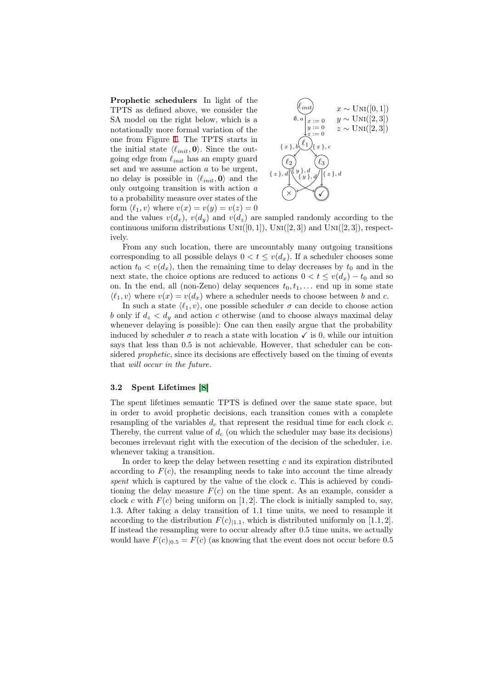Prophetic schedulers In light of the TPTS as defined above, we consider the SA model on the right below, which is a notationally more formal variation of the one from Figure 1. The TPTS starts in the initial state  $\langle \ell_{init}, \mathbf{0} \rangle$ . Since the outgoing edge from  $\ell_{init}$  has an empty guard set and we assume action a to be urgent, no delay is possi[bl](#page-2-0)e in  $\langle \ell_{init}, \mathbf{0} \rangle$  and the only outgoing transition is with action a to a probability measure over states of the form  $\langle \ell_1, v \rangle$  where  $v(x) = v(y) = v(z) = 0$ 



and the values  $v(d_x)$ ,  $v(d_y)$  and  $v(d_z)$  are sampled randomly according to the continuous uniform distributions  $Un([0, 1])$ ,  $Un([2, 3])$  and  $Un([2, 3])$ , respectively.

From any such location, there are uncountably many outgoing transitions corresponding to all possible delays  $0 < t \le v(d_x)$ . If a scheduler chooses some action  $t_0 < v(d_x)$ , then the remaining time to delay decreases by  $t_0$  and in the next state, the choice options are reduced to actions  $0 < t \le v(d_x) - t_0$  and so on. In the end, all (non-Zeno) delay sequences  $t_0, t_1, \ldots$  end up in some state  $\langle \ell_1, v \rangle$  where  $v(x) = v(d_x)$  where a scheduler needs to choose between b and c.

In such a state  $\langle \ell_1, v \rangle$ , one possible scheduler  $\sigma$  can decide to choose action b only if  $d_z < d_y$  and action c otherwise (and to choose always maximal delay whenever delaying is possible): One can then easily argue that the probability induced by scheduler  $\sigma$  to reach a state with location  $\checkmark$  is 0, while our intuition says that less than 0.5 is not achievable. However, that scheduler can be considered *prophetic*, since its decisions are effectively based on the timing of events that will occur in the future.

## 3.2 Spent Lifetimes [8]

The spent lifetimes semantic TPTS is defined over the same state space, but in order to avoid prophetic decisions, each transition comes with a complete resampling of the variables  $d_c$  that represent the residual time for each clock c. Th[e](#page-20-0)reby, the current value of  $d_c$  (on which the scheduler may base its decisions) becomes irrelevant right with the execution of the decision of the scheduler, i.e. whenever taking a transition.

In order to keep the delay between resetting  $c$  and its expiration distributed according to  $F(c)$ , the resampling needs to take into account the time already spent which is captured by the value of the clock c. This is achieved by conditioning the delay measure  $F(c)$  on the time spent. As an example, consider a clock c with  $F(c)$  being uniform on [1, 2]. The clock is initially sampled to, say, 1.3. After taking a delay transition of 1.1 time units, we need to resample it according to the distribution  $F(c)_{1,1}$ , which is distributed uniformly on [1.1, 2]. If instead the resampling were to occur already after 0.5 time units, we actually would have  $F(c)_{|0.5} = F(c)$  (as knowing that the event does not occur before 0.5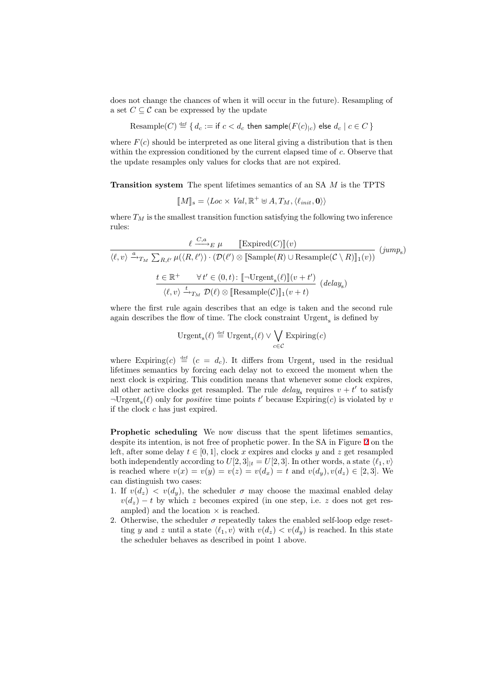does not change the chances of when it will occur in the future). Resampling of a set  $C \subseteq \mathcal{C}$  can be expressed by the update

 $\mathrm{Resample}(C)\stackrel{\text{def}}{=} \set{d_c:=\text{if }c < d_c \text{ then sample}(F(c)_{|c}) \text{ else } d_c \mid c \in C}$ 

where  $F(c)$  should be interpreted as one literal giving a distribution that is then within the expression conditioned by the current elapsed time of c. Observe that the update resamples only values for clocks that are not expired.

Transition system The spent lifetimes semantics of an SA M is the TPTS

$$
[\![M]\!]_{\rm s} = \langle Loc \times Val, \mathbb{R}^+ \boxplus A, T_M, \langle \ell_{init}, \mathbf{0} \rangle \rangle
$$

where  $T_M$  is the smallest transition function satisfying the following two inference rules:

$$
\frac{\ell \xrightarrow{C,a} \mu \qquad [\text{Expected}(C)](v)}{\langle \ell, v \rangle \xrightarrow{\alpha} T_M \sum_{R,\ell'} \mu(\langle R,\ell' \rangle) \cdot (\mathcal{D}(\ell') \otimes [\text{Sample}(R) \cup \text{Resample}(\mathcal{C} \setminus R)]_1(v))} (jump_s)
$$
\n
$$
\frac{t \in \mathbb{R}^+ \qquad \forall t' \in (0, t) : [\neg \text{Urgent}_s(\ell)](v+t')}{\langle \ell, v \rangle \xrightarrow{t} T_M \mathcal{D}(\ell) \otimes [\text{Resample}(C)]_1(v+t)} (delay_s)
$$

where the first rule again describes that an edge is taken and the second rule again describes the flow of time. The clock constraint  $U$ rgents is defined by

$$
\mathsf{Urgent}_\mathsf{s}(\ell) \stackrel{\text{\tiny def}}{=} \mathsf{Urgent}_\mathsf{r}(\ell) \vee \bigvee_{c \in \mathcal{C}} \mathsf{Expiring}(c)
$$

where Expiring(c)  $\stackrel{\text{def}}{=}$  (c = d<sub>c</sub>). It differs from Urgent<sub>r</sub> used in the residual lifetimes semantics by forcing each delay not to exceed the moment when the next clock is expiring. This condition means that whenever some clock expires, all other active clocks get resampled. The rule  $delay_s$  requires  $v + t'$  to satisfy  $\neg \text{Urgent}_{s}(\ell)$  only for *positive* time points t' because Expiring(c) is violated by v if the clock c has just expired.

Prophetic scheduling We now discuss that the spent lifetimes semantics, despite its intention, is not free of prophetic power. In the SA in Figure 2 on the left, after some delay  $t \in [0, 1]$ , clock x expires and clocks y and z get resampled both independently according to  $U[2, 3]_{lt} = U[2, 3]$ . In other words, a state  $\langle \ell_1, v \rangle$ is reached where  $v(x) = v(y) = v(z) = v(d_x) = t$  and  $v(d_y), v(d_z) \in [2, 3]$ . We can distinguish two cases:

- 1. If  $v(d_z) < v(d_y)$ , the scheduler  $\sigma$  may choose the maximal enabled delay  $v(d_z) - t$  by which z becomes expired (in one step, i.e. z does not get resampled) and the location  $\times$  is reached.
- 2. Otherwise, the scheduler  $\sigma$  repeatedly takes the enabled self-loop edge resetting y and z until a state  $\langle \ell_1, v \rangle$  with  $v(d_z) < v(d_u)$  is reached. In this state the scheduler behaves as described in point 1 above.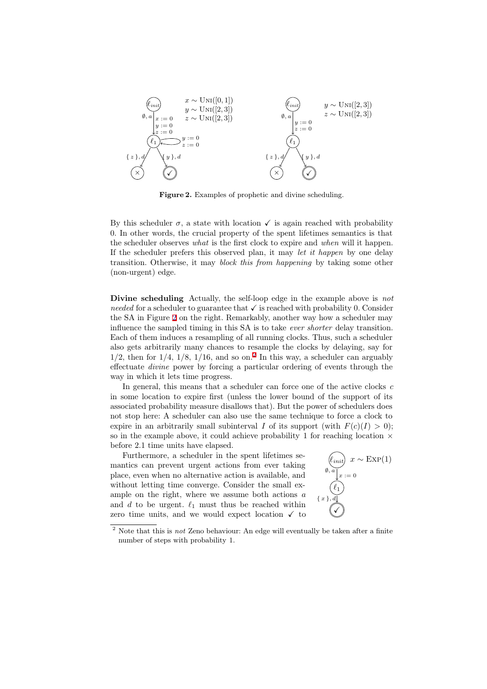

Figure 2. Examples of prophetic and divine scheduling.

By this scheduler  $\sigma$ , a state with location  $\checkmark$  is again reached with probability 0. In other words, the crucial property of the spent lifetimes semantics is that the scheduler observes what is the first clock to expire and when will it happen. If the scheduler prefers this observed plan, it may let it happen by one delay transition. Otherwise, it may block this from happening by taking some other (non-urgent) edge.

Divine scheduling Actually, the self-loop edge in the example above is not needed for a scheduler to guarantee that  $\checkmark$  is reached with probability 0. Consider the SA in Figure 2 on the right. Remarkably, another way how a scheduler may influence the sampled timing in this SA is to take ever shorter delay transition. Each of them induces a resampling of all running clocks. Thus, such a scheduler also gets arbitrarily many chances to resample the clocks by delaying, say for  $1/2$ , then for  $1/4$ ,  $1/8$ ,  $1/16$ , and so on.<sup>2</sup> In this way, a scheduler can arguably effectuate divine power by forcing a particular ordering of events through the way in which it lets time progress.

In general, this means that a scheduler can force one of the active clocks  $c$ in some location to expire first (unless the lower bound of the support of its associated probability measure disallows that). But the power of schedulers does not stop here: A scheduler can also use the same technique to force a clock to expire in an arbitrarily small subinterval I of its support (with  $F(c)(I) > 0$ ); so in the example above, it could achieve probability 1 for reaching location  $\times$ before 2.1 time units have elapsed.

Furthermore, a scheduler in the spent lifetimes semantics can prevent urgent actions from ever taking place, even when no alternative action is available, and without letting time converge. Consider the small example on the right, where we assume both actions a and d to be urgent.  $\ell_1$  must thus be reached within zero time units, and we would expect location  $\checkmark$  to



 $^{\rm 2}$  Note that this is  $not$  Zeno behaviour: An edge will eventually be taken after a finite number of steps with probability 1.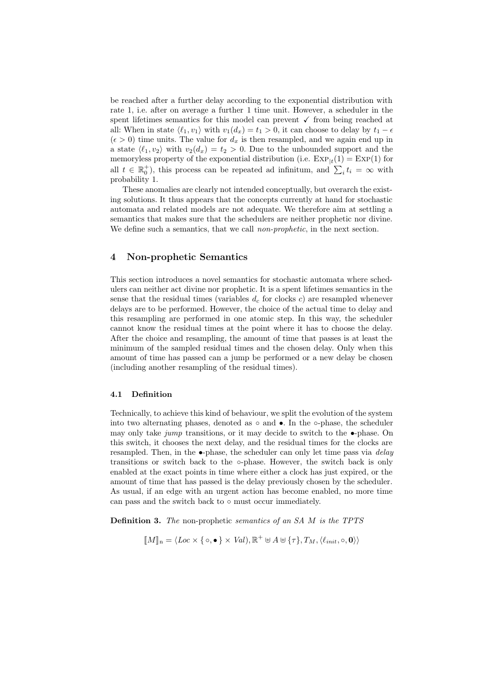<span id="page-12-0"></span>be reached after a further delay according to the exponential distribution with rate 1, i.e. after on average a further 1 time unit. However, a scheduler in the spent lifetimes semantics for this model can prevent  $\checkmark$  from being reached at all: When in state  $\langle \ell_1, v_1 \rangle$  with  $v_1(d_x) = t_1 > 0$ , it can choose to delay by  $t_1 - \epsilon$  $(\epsilon > 0)$  time units. The value for  $d_x$  is then resampled, and we again end up in a state  $\langle \ell_1, v_2 \rangle$  with  $v_2(d_x) = t_2 > 0$ . Due to the unbounded support and the memoryless property of the exponential distribution (i.e.  $\text{Exp}_{1t}(1) = \text{Exp}(1)$  for all  $t \in \mathbb{R}_0^+$ , this process can be repeated ad infinitum, and  $\sum_i t_i = \infty$  with probability 1.

These anomalies are clearly not intended conceptually, but overarch the existing solutions. It thus appears that the concepts currently at hand for stochastic automata and related models are not adequate. We therefore aim at settling a semantics that makes sure that the schedulers are neither prophetic nor divine. We define such a semantics, that we call *non-prophetic*, in the next section.

# 4 Non-prophetic Semantics

This section introduces a novel semantics for stochastic automata where schedulers can neither act divine nor prophetic. It is a spent lifetimes semantics in the sense that the residual times (variables  $d_c$  for clocks c) are resampled whenever delays are to be performed. However, the choice of the actual time to delay and this resampling are performed in one atomic step. In this way, the scheduler cannot know the residual times at the point where it has to choose the delay. After the choice and resampling, the amount of time that passes is at least the minimum of the sampled residual times and the chosen delay. Only when this amount of time has passed can a jump be performed or a new delay be chosen (including another resampling of the residual times).

#### 4.1 Definition

Technically, to achieve this kind of behaviour, we split the evolution of the system into two alternating phases, denoted as  $\circ$  and  $\bullet$ . In the  $\circ$ -phase, the scheduler may only take jump transitions, or it may decide to switch to the  $\bullet$ -phase. On this switch, it chooses the next delay, and the residual times for the clocks are resampled. Then, in the  $\bullet$ -phase, the scheduler can only let time pass via *delay* transitions or switch back to the ∘-phase. However, the switch back is only enabled at the exact points in time where either a clock has just expired, or the amount of time that has passed is the delay previously chosen by the scheduler. As usual, if an edge with an urgent action has become enabled, no more time can pass and the switch back to  $\circ$  must occur immediately.

Definition 3. The non-prophetic semantics of an SA M is the TPTS

$$
[\![M]\!]_{n} = \langle Loc \times \{ \circ, \bullet \} \times Val \rangle, \mathbb{R}^{+} \oplus A \oplus \{ \tau \}, T_{M}, \langle \ell_{init}, \circ, \mathbf{0} \rangle \rangle
$$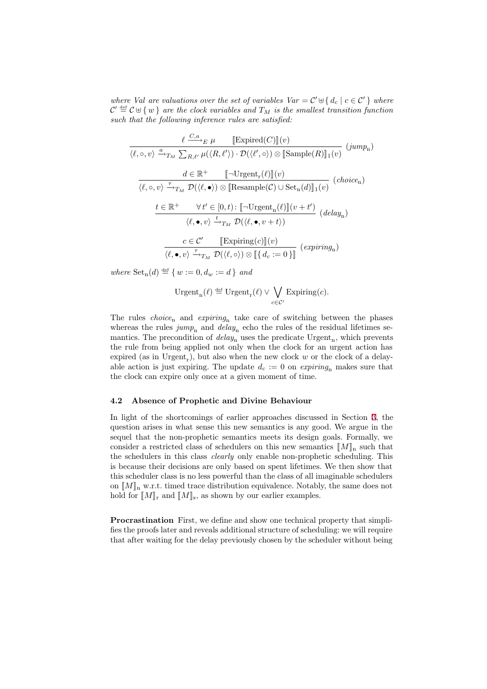where Val are valuations over the set of variables  $Var = C' \oplus \{ d_c | c \in C' \}$  where  $\mathcal{C}' \stackrel{\text{\tiny def}}{=} \mathcal{C} \cup \{w\}$  are the clock variables and  $T_M$  is the smallest transition function such that the following inference rules are satisfied:

$$
\frac{\ell \xrightarrow{C,a} \mu \qquad [\text{Explicit}(C)](v)}{\langle \ell, \circ, v \rangle \xrightarrow{\alpha} \gamma_M \sum_{R,\ell'} \mu(\langle R, \ell' \rangle) \cdot \mathcal{D}(\langle \ell', \circ \rangle) \otimes [\text{Sample}(R)]_1(v)} \quad (jump_n)
$$
\n
$$
\frac{d \in \mathbb{R}^+ \qquad [\neg \text{Urgent}_r(\ell)](v)}{\langle \ell, \circ, v \rangle \xrightarrow{\tau} \gamma_M \mathcal{D}(\langle \ell, \bullet \rangle) \otimes [\text{Resample}(C) \cup \text{Set}_n(d)]_1(v)} \quad (choice_n)
$$
\n
$$
\frac{t \in \mathbb{R}^+ \qquad \forall t' \in [0, t) \colon [\neg \text{Urgent}_n(\ell)](v + t')}{\langle \ell, \bullet, v \rangle \xrightarrow{\iota} \gamma_M \mathcal{D}(\langle \ell, \bullet, v + t \rangle)} \quad (delay_n)
$$
\n
$$
\frac{c \in C'}{\langle \ell, \bullet, v \rangle \xrightarrow{\tau} \gamma_M \mathcal{D}(\langle \ell, \circ \rangle) \otimes [\{d_c := 0\}] } \quad (expiring_n)
$$

where  $\text{Set}_{n}(d) \stackrel{\text{def}}{=} \{w := 0, d_{w} := d\}$  and

$$
\textnormal{Urgent}_n(\ell) \stackrel{\textnormal{\tiny def}}{=} \textnormal{Urgent}_r(\ell) \vee \bigvee_{c \in \mathcal{C}'} \textnormal{Expiring}(c).
$$

The rules *choice*<sub>n</sub> and *expiring*<sub>n</sub> take care of switching between the phases whereas the rules jump<sub>n</sub> and delay<sub>n</sub> echo the rules of the residual lifetimes semantics. The precondition of  $delay_n$  uses the predicate Urgent<sub>n</sub>, which prevents the rule from being applied not only when the clock for an urgent action has expired (as in Urgent<sub>r</sub>), but also when the new clock w or the clock of a delayable action is just expiring. The update  $d_c := 0$  on expiring, makes sure that the clock can expire only once at a given moment of time.

#### 4.2 Absence of Prophetic and Divine Behaviour

In light of the shortcomings of earlier approaches discussed in Section 3, the question arises in what sense this new semantics is any good. We argue in the sequel that the non-prophetic semantics meets its design goals. Formally, we consider a restricted class of schedulers on this new semantics  $\llbracket M \rrbracket_n$  such that the schedulers in this class clearly only enable non-prophetic scheduling[.](#page-7-0) This is because their decisions are only based on spent lifetimes. We then show that this scheduler class is no less powerful than the class of all imaginable schedulers on  $[\![M]\!]_n$  w.r.t. timed trace distribution equivalence. Notably, the same does not hold for  $[M]_r$  and  $[M]_s$ , as shown by our earlier examples.

Procrastination First, we define and show one technical property that simplifies the proofs later and reveals additional structure of scheduling: we will require that after waiting for the delay previously chosen by the scheduler without being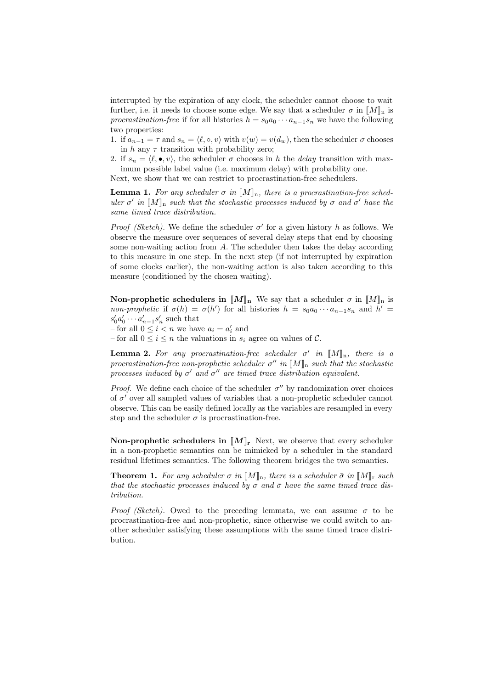interrupted by the expiration of any clock, the scheduler cannot choose to wait further, i.e. it needs to choose some edge. We say that a scheduler  $\sigma$  in  $\|M\|_{\mathfrak{n}}$  is procrastination-free if for all histories  $h = s_0 a_0 \cdots a_{n-1} s_n$  we have the following two properties:

- 1. if  $a_{n-1} = \tau$  and  $s_n = \langle \ell, \circ, v \rangle$  with  $v(w) = v(d_w)$ , then the scheduler  $\sigma$  chooses in h any  $\tau$  transition with probability zero;
- 2. if  $s_n = \langle \ell, \bullet, v \rangle$ , the scheduler  $\sigma$  chooses in h the delay transition with maximum possible label value (i.e. maximum delay) with probability one.

Next, we show that we can restrict to procrastination-free schedulers.

**Lemma 1.** For any scheduler  $\sigma$  in  $[M]_n$ , there is a procrastination-free scheduler  $\sigma'$  in  $[M]_n$  such that the stochastic processes induced by  $\sigma$  and  $\sigma'$  have the same timed trace distribution.

*Proof (Sketch)*. We define the scheduler  $\sigma'$  for a given history h as follows. We observe the measure over sequences of several delay steps that end by choosing some non-waiting action from A. The scheduler then takes the delay according to this measure in one step. In the next step (if not interrupted by expiration of some clocks earlier), the non-waiting action is also taken according to this measure (conditioned by the chosen waiting).

**Non-prophetic schedulers in**  $[M]_n$  We say that a scheduler  $\sigma$  in  $[M]_n$  is non-prophetic if  $\sigma(h) = \sigma(h')$  for all histories  $h = s_0 a_0 \cdots a_{n-1} s_n$  and  $h' =$  $s'_0 a'_0 \cdots a'_{n-1} s'_n$  such that

 $-$  for all  $0 \leq i < n$  we have  $a_i = a'_i$  and

– for all  $0 \leq i \leq n$  the valuations in  $s_i$  agree on values of C.

**Lemma 2.** For any procrastination-free scheduler  $\sigma'$  in  $[M]_n$ , there is a procrastination-free non-prophetic scheduler  $\sigma''$  in  $[M]_n$  such that the stochastic processes induced by  $\sigma'$  and  $\sigma''$  are timed trace distribution equivalent.

*Proof.* We define each choice of the scheduler  $\sigma''$  by randomization over choices of  $\sigma'$  over all sampled values of variables that a non-prophetic scheduler cannot observe. This can be easily defined locally as the variables are resampled in every step and the scheduler  $\sigma$  is procrastination-free.

Non-prophetic schedulers in  $[M]_r$  Next, we observe that every scheduler in a non-prophetic semantics can be mimicked by a scheduler in the standard residual lifetimes semantics. The following theorem bridges the two semantics.

**Theorem 1.** For any scheduler  $\sigma$  in  $[M]_n$ , there is a scheduler  $\bar{\sigma}$  in  $[M]_r$  such that the stochastic processes induced by  $\sigma$  and  $\bar{\sigma}$  have the same timed trace distribution.

*Proof (Sketch)*. Owed to the preceding lemmata, we can assume  $\sigma$  to be procrastination-free and non-prophetic, since otherwise we could switch to another scheduler satisfying these assumptions with the same timed trace distribution.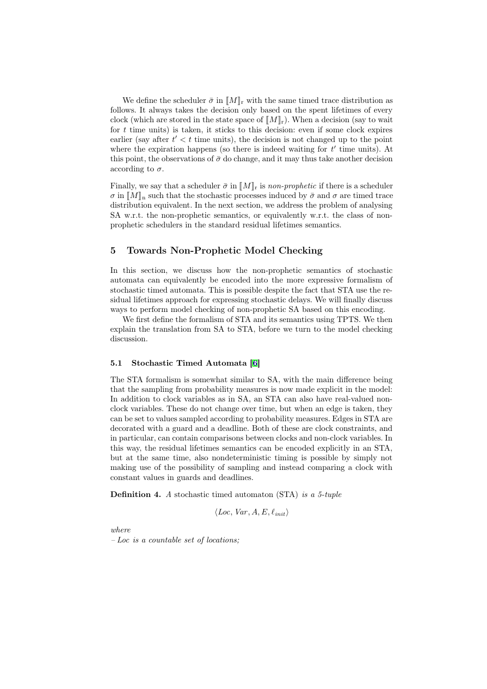We define the scheduler  $\bar{\sigma}$  in  $[M]_r$  with the same timed trace distribution as follows. It always takes the decision only based on the spent lifetimes of every clock (which are stored in the state space of  $[M]_r$ ). When a decision (say to wait for  $t$  time units) is taken, it sticks to this decision: even if some clock expires earlier (say after  $t' < t$  time units), the decision is not changed up to the point where the expiration happens (so there is indeed waiting for  $t'$  time units). At this point, the observations of  $\bar{\sigma}$  do change, and it may thus take another decision according to  $\sigma$ .

Finally, we say that a scheduler  $\bar{\sigma}$  in  $\llbracket M \rrbracket_r$  is non-prophetic if there is a scheduler  $\sigma$  in  $[M]_n$  such that the stochastic processes induced by  $\bar{\sigma}$  and  $\sigma$  are timed trace distribution equivalent. In the next section, we address the problem of analysing SA w.r.t. the non-prophetic semantics, or equivalently w.r.t. the class of nonprophetic schedulers in the standard residual lifetimes semantics.

# 5 Towards Non-Prophetic Model Checking

In this section, we discuss how the non-prophetic semantics of stochastic automata can equivalently be encoded into the more expressive formalism of stochastic timed automata. This is possible despite the fact that STA use the residual lifetimes approach for expressing stochastic delays. We will finally discuss ways to perform model checking of non-prophetic SA based on this encoding.

We first define the formalism of STA and its semantics using TPTS. We then explain the translation from SA to STA, before we turn to the model checking discussion.

## 5.1 Stochastic Timed Automata [6]

The STA formalism is somewhat similar to SA, with the main difference being that the sampling from probability measures is now made explicit in the model: In addition to clock variables as in SA, [a](#page-20-0)n STA can also have real-valued nonclock variables. These do not change over time, but when an edge is taken, they can be set to values sampled according to probability measures. Edges in STA are decorated with a guard and a deadline. Both of these are clock constraints, and in particular, can contain comparisons between clocks and non-clock variables. In this way, the residual lifetimes semantics can be encoded explicitly in an STA, but at the same time, also nondeterministic timing is possible by simply not making use of the possibility of sampling and instead comparing a clock with constant values in guards and deadlines.

Definition 4. A stochastic timed automaton (STA) is a 5-tuple

$$
\langle Loc, Var, A, E, \ell_{init} \rangle
$$

where

– Loc is a countable set of locations;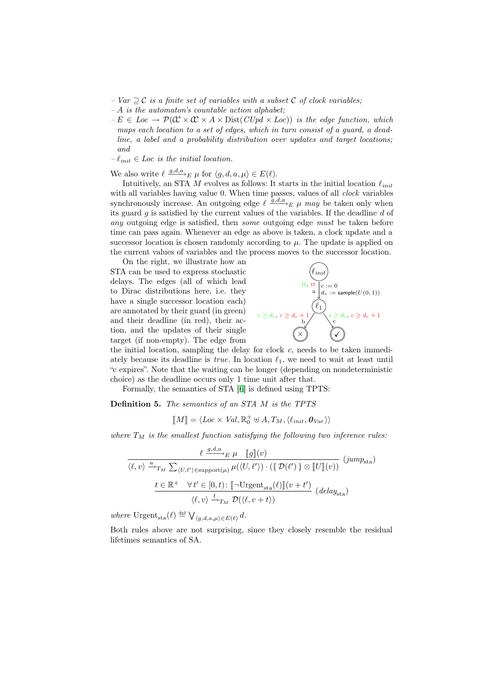- <span id="page-16-0"></span> $-Var \supset C$  is a finite set of variables with a subset C of clock variables;
- $-A$  is the automaton's countable action alphabet;
- $-E \in Loc \rightarrow \mathcal{P}(\mathcal{C} \times \mathcal{C} \times A \times Dist(CUpd \times Loc))$  is the edge function, which maps each location to a set of edges, which in turn consist of a guard, a deadline, a label and a probability distribution over updates and target locations; and
- $-\ell_{init} \in Loc$  is the initial location.

We also write  $\ell \stackrel{g,d,a}{\longrightarrow}_E \mu$  for  $\langle g,d,a,\mu \rangle \in E(\ell)$ .

Intuitively, an STA M evolves as follows: It starts in the initial location  $\ell_{init}$ with all variables having value 0. When time passes, values of all *clock* variables synchronously increase. An outgoing edge  $\ell \frac{g, d, a}{g} \neq \mu$  may be taken only when its guard  $g$  is satisfied by the current values of the variables. If the deadline  $d$  of any outgoing edge is satisfied, then *some* outgoing edge *must* be taken before time can pass again. Whenever an edge as above is taken, a clock update and a successor location is chosen randomly according to  $\mu$ . The update is applied on the current values of variables and the process moves to the successor location.

On the right, we illustrate how an STA can be used to express stochastic delays. The edges (all of which lead to Dirac distributions here, i.e. they have a single successor location each) are annotated by their guard (in green) and their deadline (in red), their action, and the updates of their single target (if non-empty). The edge from



the initial location, sampling the delay for clock  $c$ , needs to be taken immediately because its deadline is *true*. In location  $\ell_1$ , we need to wait at least until "c expires". Note that the waiting can be longer (depending on nondeterministic choice) as the deadline occurs only 1 time unit after that.

Formally, the semantics of STA [6] is defined using TPTS:

Definition 5. The semantics of an STA M is the TPTS

$$
[\![M]\!] = \langle Loc \times Val, \mathbb{R}_0^+ \uplus A, T_M, \langle \ell_{init}, \mathbf{0}_{Var} \rangle \rangle
$$

where  $T_M$  is the smallest function s[at](#page-20-0)isfying the following two inference rules:

$$
\frac{\ell \xrightarrow{g,d,a} E \mu \llbracket g \rrbracket(v)}{\langle \ell, v \rangle \xrightarrow{\alpha} T_M \sum_{\langle U, \ell' \rangle \in \text{support}(\mu)} \mu(\langle U, \ell' \rangle) \cdot (\{\mathcal{D}(\ell')\} \otimes \llbracket U \rrbracket(v))} (jump_{\text{sta}})
$$

$$
\frac{t \in \mathbb{R}^+ \quad \forall \, t' \in [0, t) : \llbracket \neg \text{Urgent}_{\text{sta}}(\ell) \rrbracket(v + t')}{\langle \ell, v \rangle \xrightarrow{t} T_M \mathcal{D}(\langle \ell, v + t \rangle)} (delay_{\text{sta}})
$$

where  $\text{Urgent}_{\text{sta}}(\ell) \stackrel{\text{def}}{=} \bigvee_{\langle g,d,a,\mu \rangle \in E(\ell)} d$ .

Both rules above are not surprising, since they closely resemble the residual lifetimes semantics of SA.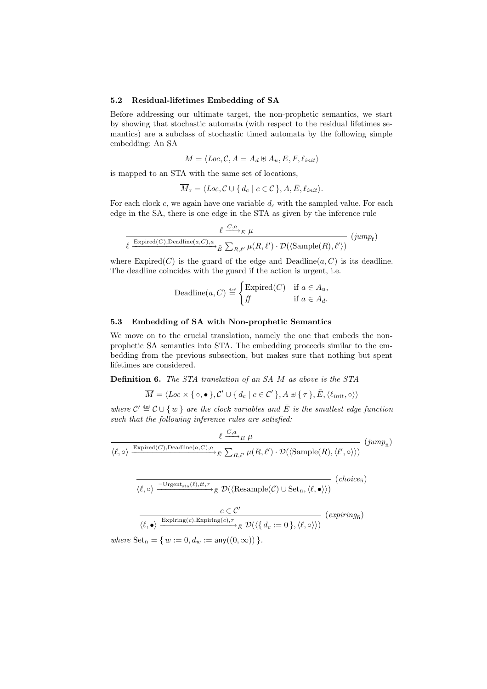#### <span id="page-17-0"></span>5.2 Residual-lifetimes Embedding of SA

Before addressing our ultimate target, the non-prophetic semantics, we start by showing that stochastic automata (with respect to the residual lifetimes semantics) are a subclass of stochastic timed automata by the following simple embedding: An SA

$$
M = \langle Loc, \mathcal{C}, A = A_d \uplus A_u, E, F, \ell_{init} \rangle
$$

is mapped to an STA with the same set of locations,

$$
\overline{M}_{\rm r} = \langle Loc, C \cup \{ d_c \mid c \in C \}, A, \overline{E}, \ell_{init} \rangle.
$$

For each clock c, we again have one variable  $d_c$  with the sampled value. For each edge in the SA, there is one edge in the STA as given by the inference rule

$$
\frac{\ell \xrightarrow{C,a} \mu}{\ell \xrightarrow{\text{Expected}(C),\text{Deadline}(a,C),a}} \frac{\ell \xrightarrow{C,a} \mu}{\bar{E} \sum_{R,\ell'} \mu(R,\ell') \cdot \mathcal{D}(\langle \text{Sample}(R),\ell' \rangle)} \ (jump_{\bar{r}})
$$

where Expired(C) is the guard of the edge and Deadline( $a, C$ ) is its deadline. The deadline coincides with the guard if the action is urgent, i.e.

$$
\text{Deadline}(a, C) \stackrel{\text{def}}{=} \begin{cases} \text{Expected}(C) & \text{if } a \in A_u, \\ \text{ff} & \text{if } a \in A_d. \end{cases}
$$

## 5.3 Embedding of SA with Non-prophetic Semantics

We move on to the crucial translation, namely the one that embeds the nonprophetic SA semantics into STA. The embedding proceeds similar to the embedding from the previous subsection, but makes sure that nothing but spent lifetimes are considered.

Definition 6. The STA translation of an SA M as above is the STA

$$
\overline{M} = \langle Loc \times \{ \circ, \bullet \}, C' \cup \{ d_c \mid c \in C' \}, A \uplus \{ \tau \}, \overline{E}, \langle \ell_{init}, \circ \rangle \rangle
$$

where  $\mathcal{C}' \stackrel{\text{\tiny def}}{=} \mathcal{C} \cup \{w\}$  are the clock variables and  $\overline{E}$  is the smallest edge function such that the following inference rules are satisfied:

$$
\frac{\ell \xrightarrow{C,a} E \mu}{\langle \ell, \circ \rangle \xrightarrow{\text{Expected}(C), \text{Deadline}(a, C), a} E \sum_{R, \ell'} \mu(R, \ell') \cdot \mathcal{D}(\langle \text{Sample}(R), \langle \ell', \circ \rangle \rangle)} \ (jump_{\overline{n}})
$$

$$
\overline{\langle \ell, \circ \rangle \xrightarrow{\neg \text{Urgent}_{\text{sta}}(\ell), tt, \tau} \overline{E} \ \mathcal{D}(\langle \text{Resample}(\mathcal{C}) \cup \text{Set}_{\overline{n}}, \langle \ell, \bullet \rangle \rangle)} \quad (choice_{\overline{n}})
$$
\n
$$
\overline{\langle \ell, \bullet \rangle \xrightarrow{\text{Expiring}(c), \text{Expiring}(c), \tau} \overline{E} \ \mathcal{D}(\langle \{ d_c := 0 \}, \langle \ell, \circ \rangle \rangle)} \quad (expiring_{\overline{n}})
$$

where  $\text{Set}_{\bar{n}} = \{ w := 0, d_w := \text{any}((0, \infty)) \}.$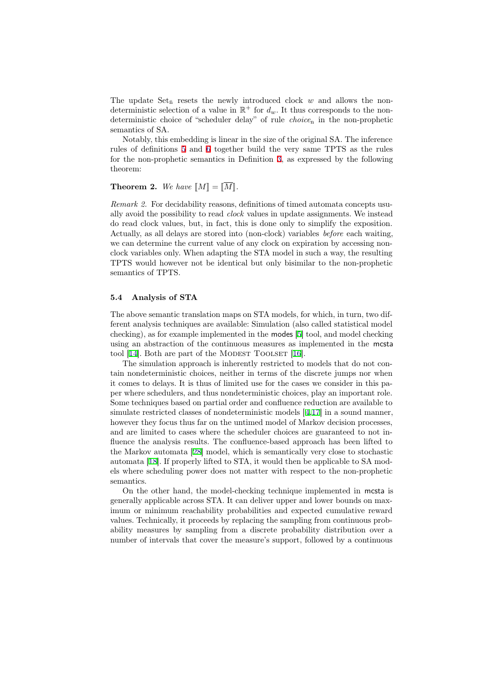<span id="page-18-0"></span>The update  $Set_{\overline{n}}$  resets the newly introduced clock w and allows the nondeterministic selection of a value in  $\mathbb{R}^+$  for  $d_w$ . It thus corresponds to the nondeterministic choice of "scheduler delay" of rule  $choice_n$  in the non-prophetic semantics of SA.

Notably, this embedding is linear in the size of the original SA. The inference rules of definitions 5 and 6 together build the very same TPTS as the rules for the non-prophetic semantics in Definition 3, as expressed by the following theorem:

# **Theorem 2.** We h[av](#page-16-0)e  $\llbracket M \rrbracket = \llbracket \overline{M} \rrbracket$ .

Remark 2. For decidability reasons, definitions [o](#page-12-0)f timed automata concepts usually avoid the possibility to read clock values in update assignments. We instead do read clock values, but, in fact, this is done only to simplify the exposition. Actually, as all delays are stored into (non-clock) variables before each waiting, we can determine the current value of any clock on expiration by accessing nonclock variables only. When adapting the STA model in such a way, the resulting TPTS would however not be identical but only bisimilar to the non-prophetic semantics of TPTS.

## 5.4 Analysis of STA

The above semantic translation maps on STA models, for which, in turn, two different analysis techniques are available: Simulation (also called statistical model checking), as for example implemented in the modes [5] tool, and model checking using an abstraction of the continuous measures as implemented in the mcsta tool  $[14]$ . Both are part of the MODEST TOOLSET  $[16]$ .

The simulation approach is inherently restricted to models that do not contain nondeterministic choices, neither in terms of t[he](#page-20-0) discrete jumps nor when it comes to delays. It is thus of limited use for the cases we consider in this paper [whe](#page-21-0)re schedulers, and thus nondeterministic ch[oice](#page-21-0)s, play an important role. Some techniques based on partial order and confluence reduction are available to simulate restricted classes of nondeterministic models [4,17] in a sound manner, however they focus thus far on the untimed model of Markov decision processes, and are limited to cases where the scheduler choices are guaranteed to not influence the analysis results. The confluence-based approach has been lifted to the Markov automata [28] model, which is semanticall[y](#page-20-0) [ver](#page-21-0)y close to stochastic automata [18]. If properly lifted to STA, it would then be applicable to SA models where scheduling power does not matter with respect to the non-prophetic semantics.

On the other hand, [th](#page-22-0)e model-checking technique implemented in mcsta is generally a[pp](#page-21-0)licable across STA. It can deliver upper and lower bounds on maximum or minimum reachability probabilities and expected cumulative reward values. Technically, it proceeds by replacing the sampling from continuous probability measures by sampling from a discrete probability distribution over a number of intervals that cover the measure's support, followed by a continuous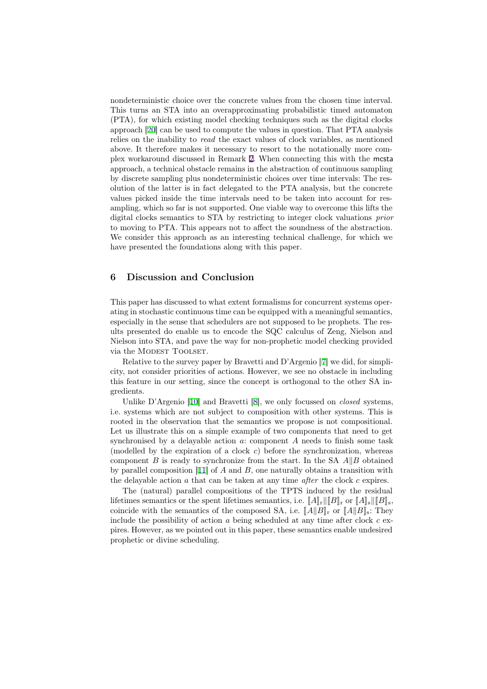nondeterministic choice over the concrete values from the chosen time interval. This turns an STA into an overapproximating probabilistic timed automaton (PTA), for which existing model checking techniques such as the digital clocks approach [20] can be used to compute the values in question. That PTA analysis relies on the inability to read the exact values of clock variables, as mentioned above. It therefore makes it necessary to resort to the notationally more complex workaround discussed in Remark 2. When connecting this with the mcsta approach, [a t](#page-21-0)echnical obstacle remains in the abstraction of continuous sampling by discrete sampling plus nondeterministic choices over time intervals: The resolution of the latter is in fact delegated to the PTA analysis, but the concrete values picked inside the time intervals [n](#page-18-0)eed to be taken into account for resampling, which so far is not supported. One viable way to overcome this lifts the digital clocks semantics to STA by restricting to integer clock valuations prior to moving to PTA. This appears not to affect the soundness of the abstraction. We consider this approach as an interesting technical challenge, for which we have presented the foundations along with this paper.

## 6 Discussion and Conclusion

This paper has discussed to what extent formalisms for concurrent systems operating in stochastic continuous time can be equipped with a meaningful semantics, especially in the sense that schedulers are not supposed to be prophets. The results presented do enable us to encode the SQC calculus of Zeng, Nielson and Nielson into STA, and pave the way for non-prophetic model checking provided via the MODEST TOOLSET.

Relative to the survey paper by Bravetti and D'Argenio [7] we did, for simplicity, not consider priorities of actions. However, we see no obstacle in including this feature in our setting, since the concept is orthogonal to the other SA ingredients.

Unlike D'Argenio [10] an[d](#page-20-0) Bravetti [8], we only focussed on *closed* systems, i.e. systems which are not subject to composition with other systems. This is rooted in the observation that the semantics we propose is not compositional. Let us illustrate this on a simple example of two components that need to get synchronised by a del[aya](#page-21-0)ble action  $a$ : c[om](#page-20-0)ponent  $A$  needs to finish some task (modelled by the expiration of a clock  $c$ ) before the synchronization, whereas component B is ready to synchronize from the start. In the SA  $A||B$  obtained by parallel composition [11] of A and B, one naturally obtains a transition with the delayable action  $a$  that can be taken at any time *after* the clock  $c$  expires.

The (natural) parallel compositions of the TPTS induced by the residual lifetimes semantics or the spent lifetimes semantics, i.e.  $\llbracket A \rrbracket_r \llbracket \llbracket B \rrbracket_r$  or  $\llbracket A \rrbracket_s \llbracket \llbracket B \rrbracket_s$ , coincide with the seman[tics](#page-21-0) of the composed SA, i.e.  $\llbracket A \Vert B \rrbracket_r$  or  $\llbracket A \Vert B \rrbracket_s$ : They include the possibility of action a being scheduled at any time after clock  $c$  expires. However, as we pointed out in this paper, these semantics enable undesired prophetic or divine scheduling.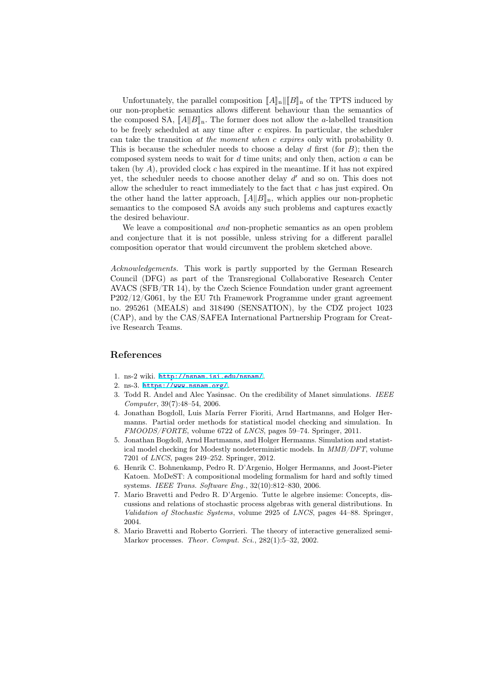<span id="page-20-0"></span>Unfortunately, the parallel composition  $\|A\|_{\mathfrak{n}}\|B\|_{\mathfrak{n}}$  of the TPTS induced by our non-prophetic semantics allows different behaviour than the semantics of the composed SA,  $\llbracket A \rrbracket B \rrbracket_n$ . The former does not allow the *a*-labelled transition to be freely scheduled at any time after  $c$  expires. In particular, the scheduler can take the transition at the moment when c expires only with probability 0. This is because the scheduler needs to choose a delay  $d$  first (for  $B$ ); then the composed system needs to wait for d time units; and only then, action a can be taken (by  $A$ ), provided clock c has expired in the meantime. If it has not expired yet, the scheduler needs to choose another delay  $d'$  and so on. This does not allow the scheduler to react immediately to the fact that  $c$  has just expired. On the other hand the latter approach,  $\llbracket A \Vert B \rrbracket_n$ , which applies our non-prophetic semantics to the composed SA avoids any such problems and captures exactly the desired behaviour.

We leave a compositional and non-prophetic semantics as an open problem and conjecture that it is not possible, unless striving for a different parallel composition operator that would circumvent the problem sketched above.

Acknowledgements. This work is partly supported by the German Research Council (DFG) as part of the Transregional Collaborative Research Center AVACS (SFB/TR 14), by the Czech Science Foundation under grant agreement P202/12/G061, by the EU 7th Framework Programme under grant agreement no. 295261 (MEALS) and 318490 (SENSATION), by the CDZ project 1023 (CAP), and by the CAS/SAFEA International Partnership Program for Creative Research Teams.

## References

- 1. ns-2 wiki. http://nsnam.isi.edu/nsnam/.
- 2. ns-3. https://www.nsnam.org/.
- 3. Todd R. Andel and Alec Yasinsac. On the credibility of Manet simulations. IEEE Computer, 39(7):48–54, 2006.
- 4. Jonathan [Bogdoll, Luis María Ferrer Fior](http://nsnam.isi.edu/nsnam/)iti, Arnd Hartmanns, and Holger Hermanns. Partial order methods for statistical model checking and simulation. In FMOODS/FORTE, volume 6722 of LNCS, pages 59–74. Springer, 2011.
- 5. Jonathan Bogdoll, Arnd Hartmanns, and Holger Hermanns. Simulation and statistical model checking for Modestly nondeterministic models. In MMB/DFT, volume 7201 of LNCS, pages 249–252. Springer, 2012.
- 6. Henrik C. Bohnenkamp, Pedro R. D'Argenio, Holger Hermanns, and Joost-Pieter Katoen. MoDeST: A compositional modeling formalism for hard and softly timed systems. IEEE Trans. Software Eng., 32(10):812–830, 2006.
- 7. Mario Bravetti and Pedro R. D'Argenio. Tutte le algebre insieme: Concepts, discussions and relations of stochastic process algebras with general distributions. In Validation of Stochastic Systems, volume 2925 of LNCS, pages 44–88. Springer, 2004.
- 8. Mario Bravetti and Roberto Gorrieri. The theory of interactive generalized semi-Markov processes. Theor. Comput. Sci., 282(1):5–32, 2002.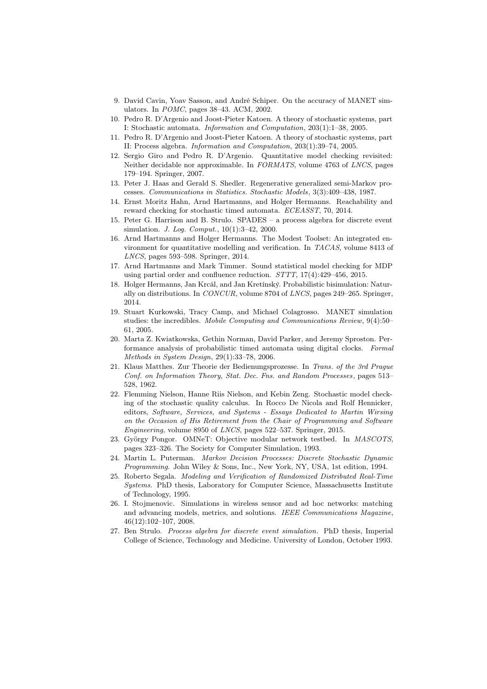- <span id="page-21-0"></span>9. David Cavin, Yoav Sasson, and André Schiper. On the accuracy of MANET simulators. In POMC, pages 38–43. ACM, 2002.
- 10. Pedro R. D'Argenio and Joost-Pieter Katoen. A theory of stochastic systems, part I: Stochastic automata. Information and Computation, 203(1):1–38, 2005.
- 11. Pedro R. D'Argenio and Joost-Pieter Katoen. A theory of stochastic systems, part II: Process algebra. Information and Computation, 203(1):39–74, 2005.
- 12. Sergio Giro and Pedro R. D'Argenio. Quantitative model checking revisited: Neither decidable nor approximable. In FORMATS, volume 4763 of LNCS, pages 179–194. Springer, 2007.
- 13. Peter J. Haas and Gerald S. Shedler. Regenerative generalized semi-Markov processes. Communications in Statistics. Stochastic Models, 3(3):409–438, 1987.
- 14. Ernst Moritz Hahn, Arnd Hartmanns, and Holger Hermanns. Reachability and reward checking for stochastic timed automata. ECEASST, 70, 2014.
- 15. Peter G. Harrison and B. Strulo. SPADES a process algebra for discrete event simulation. J. Log. Comput., 10(1):3–42, 2000.
- 16. Arnd Hartmanns and Holger Hermanns. The Modest Toolset: An integrated environment for quantitative modelling and verification. In TACAS, volume 8413 of LNCS, pages 593–598. Springer, 2014.
- 17. Arnd Hartmanns and Mark Timmer. Sound statistical model checking for MDP using partial order and confluence reduction. STTT, 17(4):429–456, 2015.
- 18. Holger Hermanns, Jan Krcál, and Jan Kretínský. Probabilistic bisimulation: Naturally on distributions. In CONCUR, volume 8704 of LNCS, pages 249–265. Springer, 2014.
- 19. Stuart Kurkowski, Tracy Camp, and Michael Colagrosso. MANET simulation studies: the incredibles. Mobile Computing and Communications Review, 9(4):50– 61, 2005.
- 20. Marta Z. Kwiatkowska, Gethin Norman, David Parker, and Jeremy Sproston. Performance analysis of probabilistic timed automata using digital clocks. Formal Methods in System Design, 29(1):33–78, 2006.
- 21. Klaus Matthes. Zur Theorie der Bedienungsprozesse. In Trans. of the 3rd Prague Conf. on Information Theory, Stat. Dec. Fns. and Random Processes, pages 513– 528, 1962.
- 22. Flemming Nielson, Hanne Riis Nielson, and Kebin Zeng. Stochastic model checking of the stochastic quality calculus. In Rocco De Nicola and Rolf Hennicker, editors, Software, Services, and Systems - Essays Dedicated to Martin Wirsing on the Occasion of His Retirement from the Chair of Programming and Software Engineering, volume 8950 of LNCS, pages 522–537. Springer, 2015.
- 23. György Pongor. OMNeT: Objective modular network testbed. In MASCOTS, pages 323–326. The Society for Computer Simulation, 1993.
- 24. Martin L. Puterman. Markov Decision Processes: Discrete Stochastic Dynamic Programming. John Wiley & Sons, Inc., New York, NY, USA, 1st edition, 1994.
- 25. Roberto Segala. Modeling and Verification of Randomized Distributed Real-Time Systems. PhD thesis, Laboratory for Computer Science, Massachusetts Institute of Technology, 1995.
- 26. I. Stojmenovic. Simulations in wireless sensor and ad hoc networks: matching and advancing models, metrics, and solutions. IEEE Communications Magazine, 46(12):102–107, 2008.
- 27. Ben Strulo. Process algebra for discrete event simulation. PhD thesis, Imperial College of Science, Technology and Medicine. University of London, October 1993.